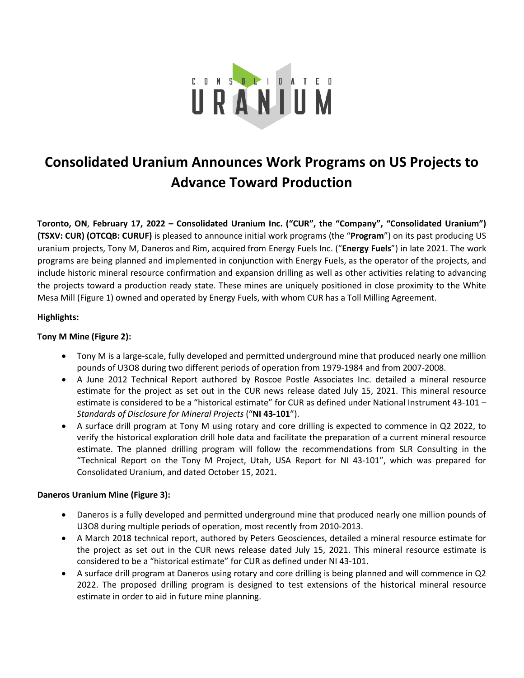

# **Consolidated Uranium Announces Work Programs on US Projects to Advance Toward Production**

**Toronto, ON**, **February 17, 2022 – Consolidated Uranium Inc. ("CUR", the "Company", "Consolidated Uranium") (TSXV: CUR) (OTCQB: CURUF)** is pleased to announce initial work programs (the "**Program**") on its past producing US uranium projects, Tony M, Daneros and Rim, acquired from Energy Fuels Inc. ("**Energy Fuels**") in late 2021. The work programs are being planned and implemented in conjunction with Energy Fuels, as the operator of the projects, and include historic mineral resource confirmation and expansion drilling as well as other activities relating to advancing the projects toward a production ready state. These mines are uniquely positioned in close proximity to the White Mesa Mill (Figure 1) owned and operated by Energy Fuels, with whom CUR has a Toll Milling Agreement.

## **Highlights:**

## **Tony M Mine (Figure 2):**

- Tony M is a large-scale, fully developed and permitted underground mine that produced nearly one million pounds of U3O8 during two different periods of operation from 1979-1984 and from 2007-2008.
- A June 2012 Technical Report authored by Roscoe Postle Associates Inc. detailed a mineral resource estimate for the project as set out in the CUR news release dated July 15, 2021. This mineral resource estimate is considered to be a "historical estimate" for CUR as defined under National Instrument 43-101 – *Standards of Disclosure for Mineral Projects* ("**NI 43-101**").
- A surface drill program at Tony M using rotary and core drilling is expected to commence in Q2 2022, to verify the historical exploration drill hole data and facilitate the preparation of a current mineral resource estimate. The planned drilling program will follow the recommendations from SLR Consulting in the "Technical Report on the Tony M Project, Utah, USA Report for NI 43-101", which was prepared for Consolidated Uranium, and dated October 15, 2021.

## **Daneros Uranium Mine (Figure 3):**

- Daneros is a fully developed and permitted underground mine that produced nearly one million pounds of U3O8 during multiple periods of operation, most recently from 2010-2013.
- A March 2018 technical report, authored by Peters Geosciences, detailed a mineral resource estimate for the project as set out in the CUR news release dated July 15, 2021. This mineral resource estimate is considered to be a "historical estimate" for CUR as defined under NI 43-101.
- A surface drill program at Daneros using rotary and core drilling is being planned and will commence in Q2 2022. The proposed drilling program is designed to test extensions of the historical mineral resource estimate in order to aid in future mine planning.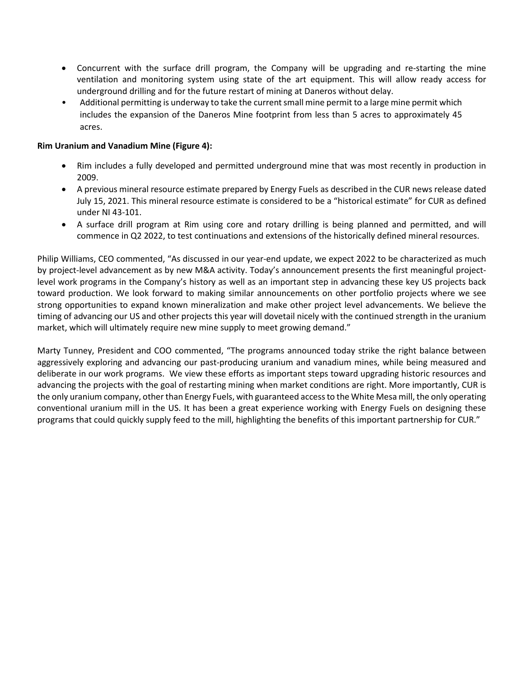- Concurrent with the surface drill program, the Company will be upgrading and re-starting the mine ventilation and monitoring system using state of the art equipment. This will allow ready access for underground drilling and for the future restart of mining at Daneros without delay.
- Additional permitting is underway to take the current small mine permit to a large mine permit which includes the expansion of the Daneros Mine footprint from less than 5 acres to approximately 45 acres.

## **Rim Uranium and Vanadium Mine (Figure 4):**

- Rim includes a fully developed and permitted underground mine that was most recently in production in 2009.
- A previous mineral resource estimate prepared by Energy Fuels as described in the CUR news release dated July 15, 2021. This mineral resource estimate is considered to be a "historical estimate" for CUR as defined under NI 43-101.
- A surface drill program at Rim using core and rotary drilling is being planned and permitted, and will commence in Q2 2022, to test continuations and extensions of the historically defined mineral resources.

Philip Williams, CEO commented, "As discussed in our year-end update, we expect 2022 to be characterized as much by project-level advancement as by new M&A activity. Today's announcement presents the first meaningful projectlevel work programs in the Company's history as well as an important step in advancing these key US projects back toward production. We look forward to making similar announcements on other portfolio projects where we see strong opportunities to expand known mineralization and make other project level advancements. We believe the timing of advancing our US and other projects this year will dovetail nicely with the continued strength in the uranium market, which will ultimately require new mine supply to meet growing demand."

Marty Tunney, President and COO commented, "The programs announced today strike the right balance between aggressively exploring and advancing our past-producing uranium and vanadium mines, while being measured and deliberate in our work programs. We view these efforts as important steps toward upgrading historic resources and advancing the projects with the goal of restarting mining when market conditions are right. More importantly, CUR is the only uranium company, other than Energy Fuels, with guaranteed access to the White Mesa mill, the only operating conventional uranium mill in the US. It has been a great experience working with Energy Fuels on designing these programs that could quickly supply feed to the mill, highlighting the benefits of this important partnership for CUR."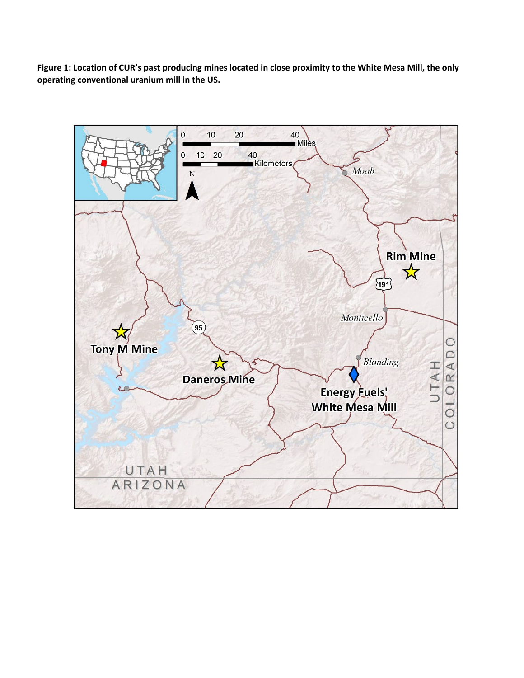**Figure 1: Location of CUR's past producing mines located in close proximity to the White Mesa Mill, the only operating conventional uranium mill in the US.**

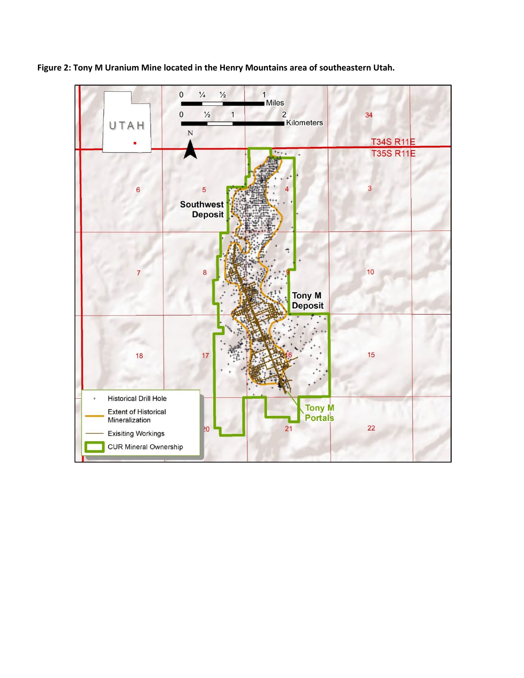

**Figure 2: Tony M Uranium Mine located in the Henry Mountains area of southeastern Utah.**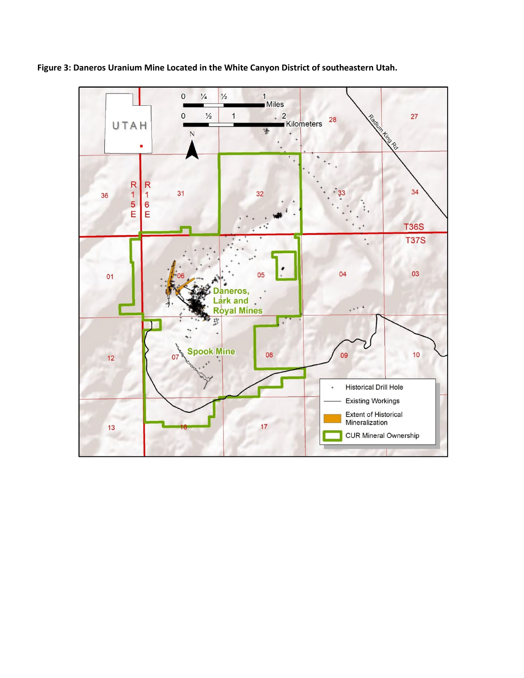

**Figure 3: Daneros Uranium Mine Located in the White Canyon District of southeastern Utah.**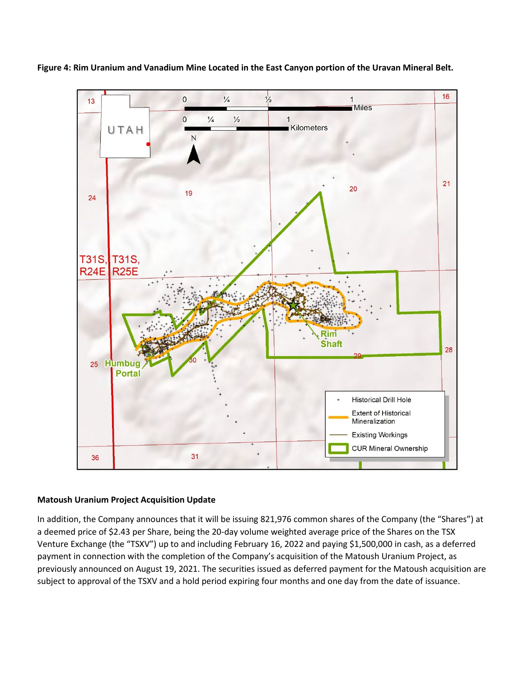



#### **Matoush Uranium Project Acquisition Update**

In addition, the Company announces that it will be issuing 821,976 common shares of the Company (the "Shares") at a deemed price of \$2.43 per Share, being the 20-day volume weighted average price of the Shares on the TSX Venture Exchange (the "TSXV") up to and including February 16, 2022 and paying \$1,500,000 in cash, as a deferred payment in connection with the completion of the Company's acquisition of the Matoush Uranium Project, as previously announced on August 19, 2021. The securities issued as deferred payment for the Matoush acquisition are subject to approval of the TSXV and a hold period expiring four months and one day from the date of issuance.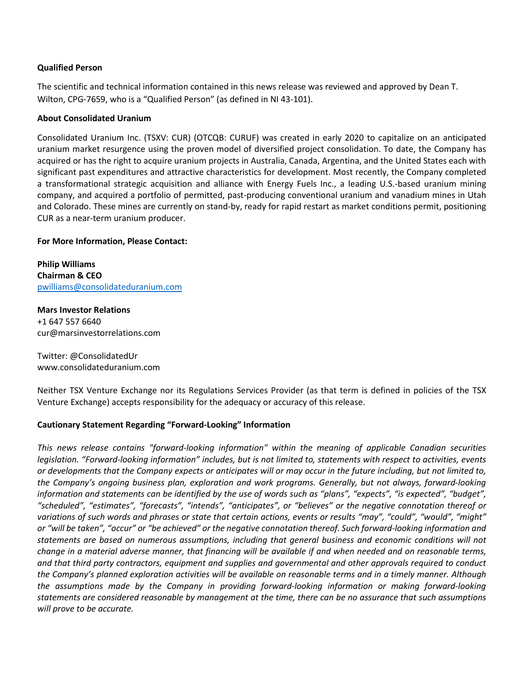## **Qualified Person**

The scientific and technical information contained in this news release was reviewed and approved by Dean T. Wilton, CPG-7659, who is a "Qualified Person" (as defined in NI 43-101).

#### **About Consolidated Uranium**

Consolidated Uranium Inc. (TSXV: CUR) (OTCQB: CURUF) was created in early 2020 to capitalize on an anticipated uranium market resurgence using the proven model of diversified project consolidation. To date, the Company has acquired or has the right to acquire uranium projects in Australia, Canada, Argentina, and the United States each with significant past expenditures and attractive characteristics for development. Most recently, the Company completed a transformational strategic acquisition and alliance with Energy Fuels Inc., a leading U.S.-based uranium mining company, and acquired a portfolio of permitted, past-producing conventional uranium and vanadium mines in Utah and Colorado. These mines are currently on stand-by, ready for rapid restart as market conditions permit, positioning CUR as a near-term uranium producer.

#### **For More Information, Please Contact:**

**Philip Williams Chairman & CEO** [pwilliams@consolidateduranium.com](mailto:pwilliams@consolidateduranium.com)

**Mars Investor Relations**  +1 647 557 6640 cur@marsinvestorrelations.com

Twitter: @ConsolidatedUr www.consolidateduranium.com

Neither TSX Venture Exchange nor its Regulations Services Provider (as that term is defined in policies of the TSX Venture Exchange) accepts responsibility for the adequacy or accuracy of this release.

## **Cautionary Statement Regarding "Forward-Looking" Information**

*This news release contains "forward-looking information" within the meaning of applicable Canadian securities legislation. "Forward-looking information" includes, but is not limited to, statements with respect to activities, events or developments that the Company expects or anticipates will or may occur in the future including, but not limited to, the Company's ongoing business plan, exploration and work programs. Generally, but not always, forward-looking information and statements can be identified by the use of words such as "plans", "expects", "is expected", "budget", "scheduled", "estimates", "forecasts", "intends", "anticipates", or "believes" or the negative connotation thereof or variations of such words and phrases or state that certain actions, events or results "may", "could", "would", "might" or "will be taken", "occur" or "be achieved" or the negative connotation thereof. Such forward-looking information and statements are based on numerous assumptions, including that general business and economic conditions will not change in a material adverse manner, that financing will be available if and when needed and on reasonable terms, and that third party contractors, equipment and supplies and governmental and other approvals required to conduct the Company's planned exploration activities will be available on reasonable terms and in a timely manner. Although the assumptions made by the Company in providing forward-looking information or making forward-looking statements are considered reasonable by management at the time, there can be no assurance that such assumptions will prove to be accurate.*